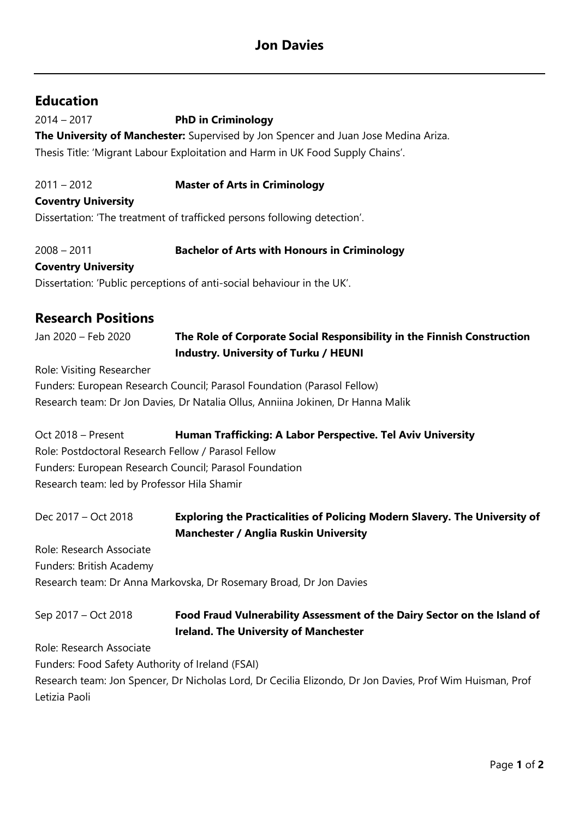## **Education**

#### 2014 – 2017 **PhD in Criminology**

**The University of Manchester:** Supervised by Jon Spencer and Juan Jose Medina Ariza. Thesis Title: 'Migrant Labour Exploitation and Harm in UK Food Supply Chains'.

# 2011 – 2012 **Master of Arts in Criminology**

**Coventry University** Dissertation: 'The treatment of trafficked persons following detection'.

2008 – 2011 **Bachelor of Arts with Honours in Criminology Coventry University** Dissertation: 'Public perceptions of anti-social behaviour in the UK'.

## **Research Positions**

Jan 2020 – Feb 2020 **The Role of Corporate Social Responsibility in the Finnish Construction Industry. University of Turku / HEUNI**

Role: Visiting Researcher

Funders: European Research Council; Parasol Foundation (Parasol Fellow) Research team: Dr Jon Davies, Dr Natalia Ollus, Anniina Jokinen, Dr Hanna Malik

Oct 2018 – Present **Human Trafficking: A Labor Perspective. Tel Aviv University** Role: Postdoctoral Research Fellow / Parasol Fellow Funders: European Research Council; Parasol Foundation Research team: led by Professor Hila Shamir

Dec 2017 – Oct 2018 **Exploring the Practicalities of Policing Modern Slavery. The University of Manchester / Anglia Ruskin University** Role: Research Associate

Funders: British Academy Research team: Dr Anna Markovska, Dr Rosemary Broad, Dr Jon Davies

Sep 2017 – Oct 2018 **Food Fraud Vulnerability Assessment of the Dairy Sector on the Island of Ireland. The University of Manchester**

Role: Research Associate

Funders: Food Safety Authority of Ireland (FSAI)

Research team: Jon Spencer, Dr Nicholas Lord, Dr Cecilia Elizondo, Dr Jon Davies, Prof Wim Huisman, Prof Letizia Paoli